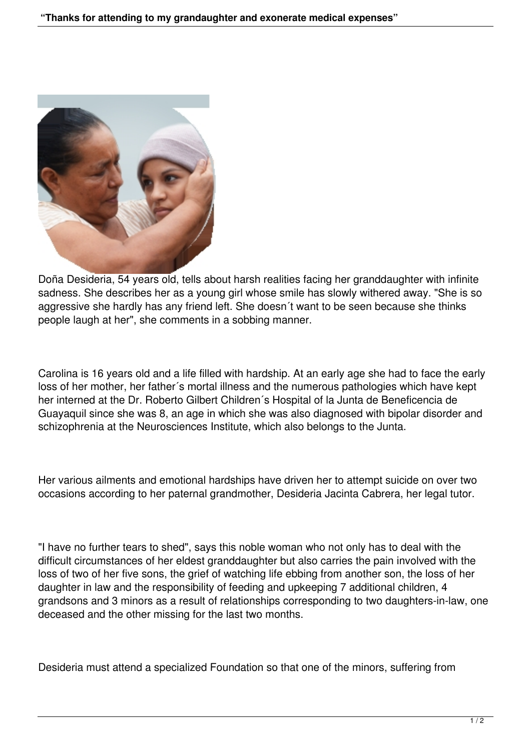

Doña Desideria, 54 years old, tells about harsh realities facing her granddaughter with infinite sadness. She describes her as a young girl whose smile has slowly withered away. "She is so aggressive she hardly has any friend left. She doesn´t want to be seen because she thinks people laugh at her", she comments in a sobbing manner.

Carolina is 16 years old and a life filled with hardship. At an early age she had to face the early loss of her mother, her father´s mortal illness and the numerous pathologies which have kept her interned at the Dr. Roberto Gilbert Children´s Hospital of la Junta de Beneficencia de Guayaquil since she was 8, an age in which she was also diagnosed with bipolar disorder and schizophrenia at the Neurosciences Institute, which also belongs to the Junta.

Her various ailments and emotional hardships have driven her to attempt suicide on over two occasions according to her paternal grandmother, Desideria Jacinta Cabrera, her legal tutor.

"I have no further tears to shed", says this noble woman who not only has to deal with the difficult circumstances of her eldest granddaughter but also carries the pain involved with the loss of two of her five sons, the grief of watching life ebbing from another son, the loss of her daughter in law and the responsibility of feeding and upkeeping 7 additional children, 4 grandsons and 3 minors as a result of relationships corresponding to two daughters-in-law, one deceased and the other missing for the last two months.

Desideria must attend a specialized Foundation so that one of the minors, suffering from